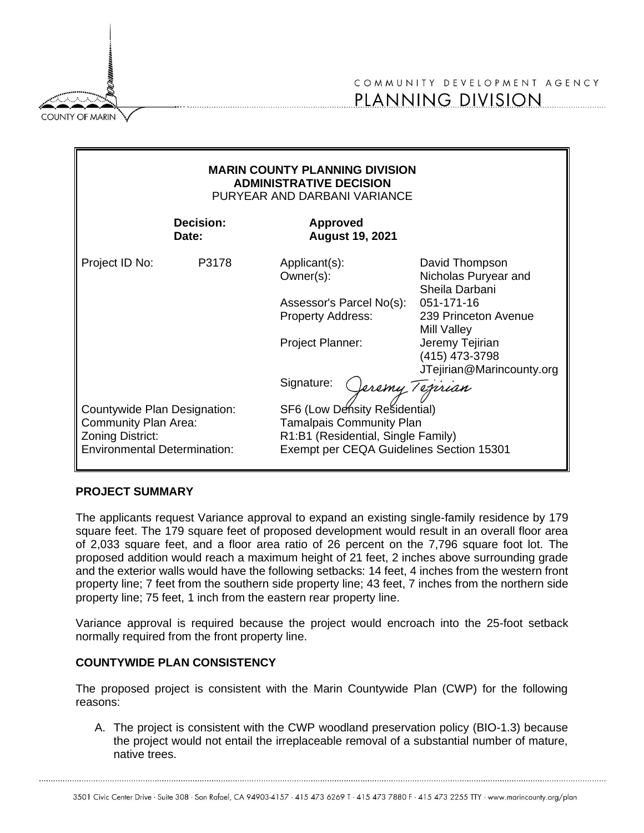

# COMMUNITY DEVELOPMENT AGENCY PLANNING DIVISION

| <b>MARIN COUNTY PLANNING DIVISION</b><br><b>ADMINISTRATIVE DECISION</b><br>PURYEAR AND DARBANI VARIANCE                |                    |                                                                                                                                                                       |                                                                                                                                                                                 |
|------------------------------------------------------------------------------------------------------------------------|--------------------|-----------------------------------------------------------------------------------------------------------------------------------------------------------------------|---------------------------------------------------------------------------------------------------------------------------------------------------------------------------------|
|                                                                                                                        | Decision:<br>Date: | <b>Approved</b><br><b>August 19, 2021</b>                                                                                                                             |                                                                                                                                                                                 |
| Project ID No:                                                                                                         | P3178              | Applicant(s):<br>Owner(s):<br>Assessor's Parcel No(s):<br><b>Property Address:</b><br>Project Planner:<br>Signature:                                                  | David Thompson<br>Nicholas Puryear and<br>Sheila Darbani<br>051-171-16<br>239 Princeton Avenue<br>Mill Valley<br>Jeremy Tejirian<br>(415) 473-3798<br>JTejirian@Marincounty.org |
| Countywide Plan Designation:<br><b>Community Plan Area:</b><br>Zoning District:<br><b>Environmental Determination:</b> |                    | Veremy Tejirian<br>SF6 (Low Density Residential)<br><b>Tamalpais Community Plan</b><br>R1:B1 (Residential, Single Family)<br>Exempt per CEQA Guidelines Section 15301 |                                                                                                                                                                                 |

### **PROJECT SUMMARY**

The applicants request Variance approval to expand an existing single-family residence by 179 square feet. The 179 square feet of proposed development would result in an overall floor area of 2,033 square feet, and a floor area ratio of 26 percent on the 7,796 square foot lot. The proposed addition would reach a maximum height of 21 feet, 2 inches above surrounding grade and the exterior walls would have the following setbacks: 14 feet, 4 inches from the western front property line; 7 feet from the southern side property line; 43 feet, 7 inches from the northern side property line; 75 feet, 1 inch from the eastern rear property line.

Variance approval is required because the project would encroach into the 25-foot setback normally required from the front property line.

# **COUNTYWIDE PLAN CONSISTENCY**

The proposed project is consistent with the Marin Countywide Plan (CWP) for the following reasons:

A. The project is consistent with the CWP woodland preservation policy (BIO-1.3) because the project would not entail the irreplaceable removal of a substantial number of mature, native trees.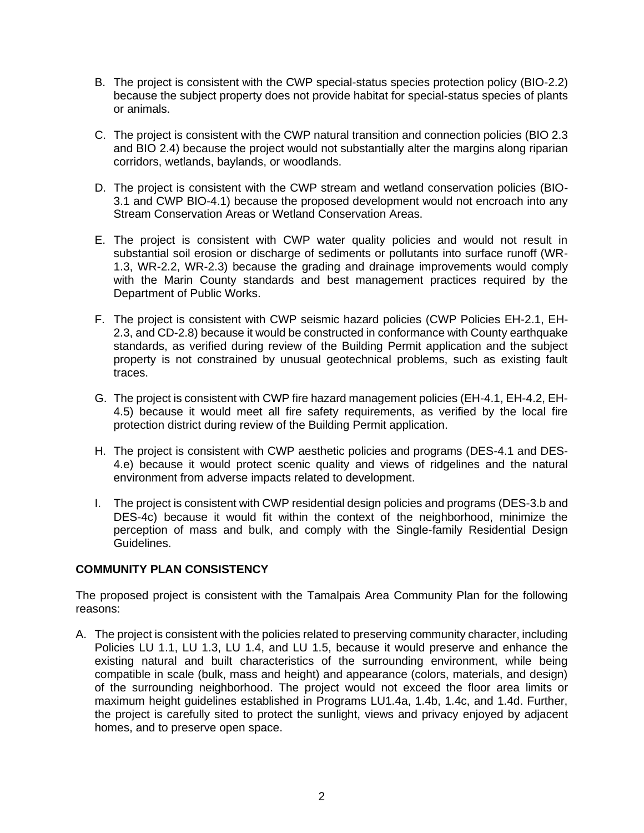- B. The project is consistent with the CWP special-status species protection policy (BIO-2.2) because the subject property does not provide habitat for special-status species of plants or animals.
- C. The project is consistent with the CWP natural transition and connection policies (BIO 2.3 and BIO 2.4) because the project would not substantially alter the margins along riparian corridors, wetlands, baylands, or woodlands.
- D. The project is consistent with the CWP stream and wetland conservation policies (BIO-3.1 and CWP BIO-4.1) because the proposed development would not encroach into any Stream Conservation Areas or Wetland Conservation Areas.
- E. The project is consistent with CWP water quality policies and would not result in substantial soil erosion or discharge of sediments or pollutants into surface runoff (WR-1.3, WR-2.2, WR-2.3) because the grading and drainage improvements would comply with the Marin County standards and best management practices required by the Department of Public Works.
- F. The project is consistent with CWP seismic hazard policies (CWP Policies EH-2.1, EH-2.3, and CD-2.8) because it would be constructed in conformance with County earthquake standards, as verified during review of the Building Permit application and the subject property is not constrained by unusual geotechnical problems, such as existing fault traces.
- G. The project is consistent with CWP fire hazard management policies (EH-4.1, EH-4.2, EH-4.5) because it would meet all fire safety requirements, as verified by the local fire protection district during review of the Building Permit application.
- H. The project is consistent with CWP aesthetic policies and programs (DES-4.1 and DES-4.e) because it would protect scenic quality and views of ridgelines and the natural environment from adverse impacts related to development.
- I. The project is consistent with CWP residential design policies and programs (DES-3.b and DES-4c) because it would fit within the context of the neighborhood, minimize the perception of mass and bulk, and comply with the Single-family Residential Design Guidelines.

# **COMMUNITY PLAN CONSISTENCY**

The proposed project is consistent with the Tamalpais Area Community Plan for the following reasons:

A. The project is consistent with the policies related to preserving community character, including Policies LU 1.1, LU 1.3, LU 1.4, and LU 1.5, because it would preserve and enhance the existing natural and built characteristics of the surrounding environment, while being compatible in scale (bulk, mass and height) and appearance (colors, materials, and design) of the surrounding neighborhood. The project would not exceed the floor area limits or maximum height guidelines established in Programs LU1.4a, 1.4b, 1.4c, and 1.4d. Further, the project is carefully sited to protect the sunlight, views and privacy enjoyed by adjacent homes, and to preserve open space.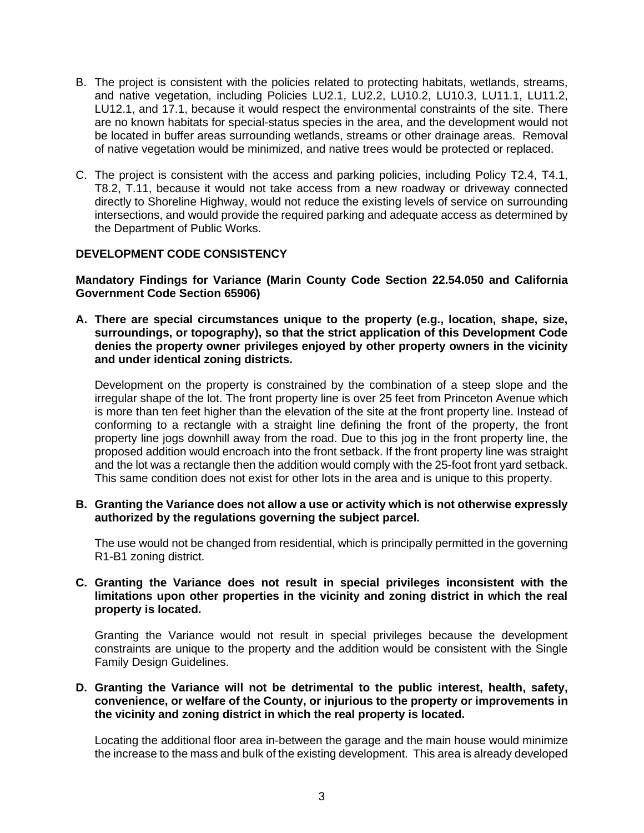- B. The project is consistent with the policies related to protecting habitats, wetlands, streams, and native vegetation, including Policies LU2.1, LU2.2, LU10.2, LU10.3, LU11.1, LU11.2, LU12.1, and 17.1, because it would respect the environmental constraints of the site. There are no known habitats for special-status species in the area, and the development would not be located in buffer areas surrounding wetlands, streams or other drainage areas. Removal of native vegetation would be minimized, and native trees would be protected or replaced.
- C. The project is consistent with the access and parking policies, including Policy T2.4, T4.1, T8.2, T.11, because it would not take access from a new roadway or driveway connected directly to Shoreline Highway, would not reduce the existing levels of service on surrounding intersections, and would provide the required parking and adequate access as determined by the Department of Public Works.

### **DEVELOPMENT CODE CONSISTENCY**

**Mandatory Findings for Variance (Marin County Code Section 22.54.050 and California Government Code Section 65906)**

**A. There are special circumstances unique to the property (e.g., location, shape, size, surroundings, or topography), so that the strict application of this Development Code denies the property owner privileges enjoyed by other property owners in the vicinity and under identical zoning districts.**

Development on the property is constrained by the combination of a steep slope and the irregular shape of the lot. The front property line is over 25 feet from Princeton Avenue which is more than ten feet higher than the elevation of the site at the front property line. Instead of conforming to a rectangle with a straight line defining the front of the property, the front property line jogs downhill away from the road. Due to this jog in the front property line, the proposed addition would encroach into the front setback. If the front property line was straight and the lot was a rectangle then the addition would comply with the 25-foot front yard setback. This same condition does not exist for other lots in the area and is unique to this property.

**B. Granting the Variance does not allow a use or activity which is not otherwise expressly authorized by the regulations governing the subject parcel.**

The use would not be changed from residential, which is principally permitted in the governing R1-B1 zoning district.

### **C. Granting the Variance does not result in special privileges inconsistent with the limitations upon other properties in the vicinity and zoning district in which the real property is located.**

Granting the Variance would not result in special privileges because the development constraints are unique to the property and the addition would be consistent with the Single Family Design Guidelines.

### **D. Granting the Variance will not be detrimental to the public interest, health, safety, convenience, or welfare of the County, or injurious to the property or improvements in the vicinity and zoning district in which the real property is located.**

Locating the additional floor area in-between the garage and the main house would minimize the increase to the mass and bulk of the existing development. This area is already developed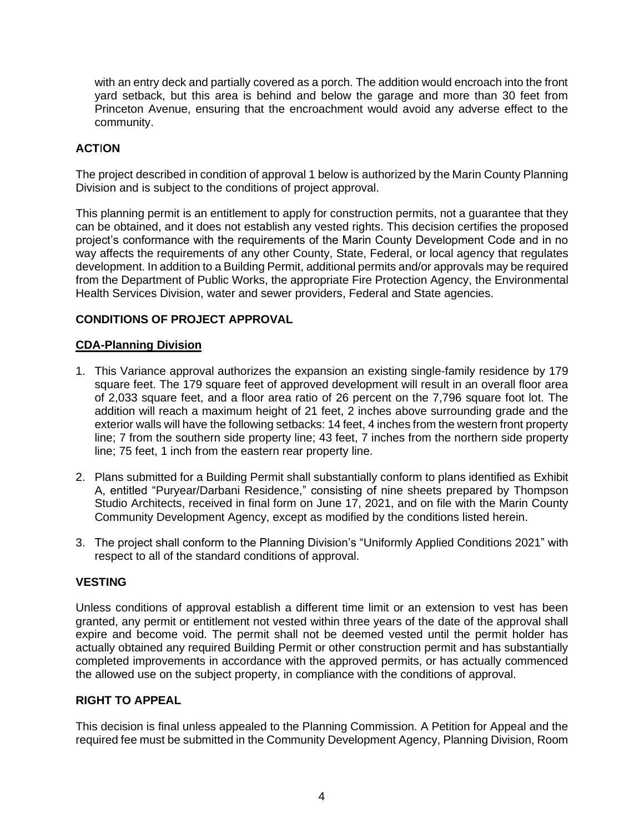with an entry deck and partially covered as a porch. The addition would encroach into the front yard setback, but this area is behind and below the garage and more than 30 feet from Princeton Avenue, ensuring that the encroachment would avoid any adverse effect to the community.

# **ACT**I**ON**

The project described in condition of approval 1 below is authorized by the Marin County Planning Division and is subject to the conditions of project approval.

This planning permit is an entitlement to apply for construction permits, not a guarantee that they can be obtained, and it does not establish any vested rights. This decision certifies the proposed project's conformance with the requirements of the Marin County Development Code and in no way affects the requirements of any other County, State, Federal, or local agency that regulates development. In addition to a Building Permit, additional permits and/or approvals may be required from the Department of Public Works, the appropriate Fire Protection Agency, the Environmental Health Services Division, water and sewer providers, Federal and State agencies.

## **CONDITIONS OF PROJECT APPROVAL**

### **CDA-Planning Division**

- 1. This Variance approval authorizes the expansion an existing single-family residence by 179 square feet. The 179 square feet of approved development will result in an overall floor area of 2,033 square feet, and a floor area ratio of 26 percent on the 7,796 square foot lot. The addition will reach a maximum height of 21 feet, 2 inches above surrounding grade and the exterior walls will have the following setbacks: 14 feet, 4 inches from the western front property line; 7 from the southern side property line; 43 feet, 7 inches from the northern side property line; 75 feet, 1 inch from the eastern rear property line.
- 2. Plans submitted for a Building Permit shall substantially conform to plans identified as Exhibit A, entitled "Puryear/Darbani Residence," consisting of nine sheets prepared by Thompson Studio Architects, received in final form on June 17, 2021, and on file with the Marin County Community Development Agency, except as modified by the conditions listed herein.
- 3. The project shall conform to the Planning Division's "Uniformly Applied Conditions 2021" with respect to all of the standard conditions of approval.

#### **VESTING**

Unless conditions of approval establish a different time limit or an extension to vest has been granted, any permit or entitlement not vested within three years of the date of the approval shall expire and become void. The permit shall not be deemed vested until the permit holder has actually obtained any required Building Permit or other construction permit and has substantially completed improvements in accordance with the approved permits, or has actually commenced the allowed use on the subject property, in compliance with the conditions of approval.

### **RIGHT TO APPEAL**

This decision is final unless appealed to the Planning Commission. A Petition for Appeal and the required fee must be submitted in the Community Development Agency, Planning Division, Room